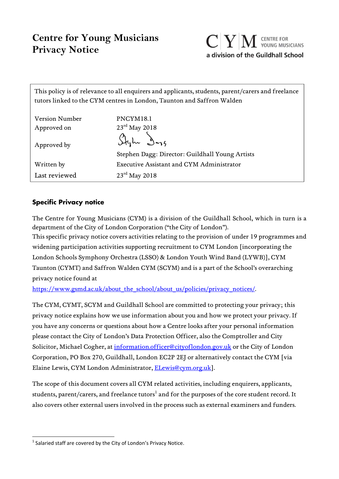# **Centre for Young Musicians Privacy Notice**



This policy is of relevance to all enquirers and applicants, students, parent/carers and freelance tutors linked to the CYM centres in London, Taunton and Saffron Walden

| <b>Version Number</b> | PNCYM18.1                                       |
|-----------------------|-------------------------------------------------|
| Approved on           | $23^{\text{rd}}$ May 2018                       |
| Approved by           | Stylu Dog                                       |
|                       | Stephen Dagg: Director: Guildhall Young Artists |
| Written by            | Executive Assistant and CYM Administrator       |
| Last reviewed         | $23rd$ May 2018                                 |

## **Specific Privacy notice**

The Centre for Young Musicians (CYM) is a division of the Guildhall School, which in turn is a department of the City of London Corporation ("the City of London").

This specific privacy notice covers activities relating to the provision of under 19 programmes and widening participation activities supporting recruitment to CYM London [incorporating the London Schools Symphony Orchestra (LSSO) & London Youth Wind Band (LYWB)], CYM Taunton (CYMT) and Saffron Walden CYM (SCYM) and is a part of the School's overarching privacy notice found at

https://www.gsmd.ac.uk/about\_the\_school/about\_us/policies/privacy\_notices/.

The CYM, CYMT, SCYM and Guildhall School are committed to protecting your privacy; this privacy notice explains how we use information about you and how we protect your privacy. If you have any concerns or questions about how a Centre looks after your personal information please contact the City of London's Data Protection Officer, also the Comptroller and City Solicitor, Michael Cogher, at information.officer@cityoflondon.gov.uk or the City of London Corporation, PO Box 270, Guildhall, London EC2P 2EJ or alternatively contact the CYM [via Elaine Lewis, CYM London Administrator, ELewis@cym.org.uk].

The scope of this document covers all CYM related activities, including enquirers, applicants, students, parent/carers, and freelance tutors $^{\rm l}$  and for the purposes of the core student record. It also covers other external users involved in the process such as external examiners and funders.

 $1$  Salaried staff are covered by the City of London's Privacy Notice.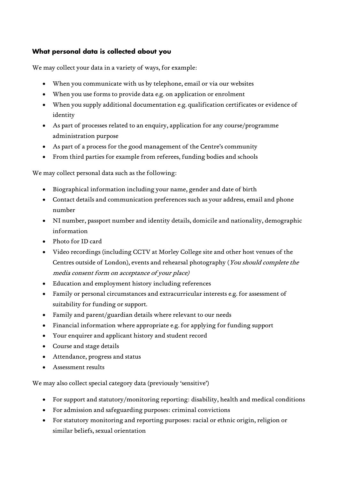## **What personal data is collected about you**

We may collect your data in a variety of ways, for example:

- When you communicate with us by telephone, email or via our websites
- When you use forms to provide data e.g. on application or enrolment
- When you supply additional documentation e.g. qualification certificates or evidence of identity
- As part of processes related to an enquiry, application for any course/programme administration purpose
- As part of a process for the good management of the Centre's community
- From third parties for example from referees, funding bodies and schools

We may collect personal data such as the following:

- Biographical information including your name, gender and date of birth
- Contact details and communication preferences such as your address, email and phone number
- NI number, passport number and identity details, domicile and nationality, demographic information
- Photo for ID card
- Video recordings (including CCTV at Morley College site and other host venues of the Centres outside of London), events and rehearsal photography (You should complete the media consent form on acceptance of your place)
- Education and employment history including references
- Family or personal circumstances and extracurricular interests e.g. for assessment of suitability for funding or support.
- Family and parent/guardian details where relevant to our needs
- Financial information where appropriate e.g. for applying for funding support
- Your enquirer and applicant history and student record
- Course and stage details
- Attendance, progress and status
- Assessment results

We may also collect special category data (previously 'sensitive')

- For support and statutory/monitoring reporting: disability, health and medical conditions
- For admission and safeguarding purposes: criminal convictions
- For statutory monitoring and reporting purposes: racial or ethnic origin, religion or similar beliefs, sexual orientation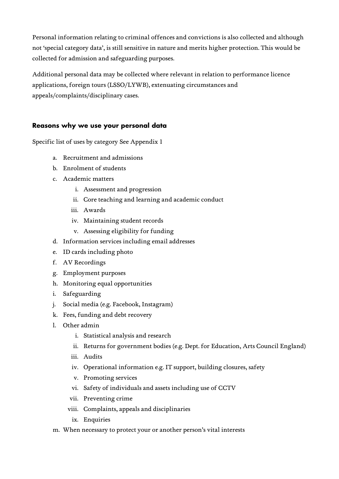Personal information relating to criminal offences and convictions is also collected and although not 'special category data', is still sensitive in nature and merits higher protection. This would be collected for admission and safeguarding purposes.

Additional personal data may be collected where relevant in relation to performance licence applications, foreign tours (LSSO/LYWB), extenuating circumstances and appeals/complaints/disciplinary cases.

## **Reasons why we use your personal data**

Specific list of uses by category See Appendix 1

- a. Recruitment and admissions
- b. Enrolment of students
- c. Academic matters
	- i. Assessment and progression
	- ii. Core teaching and learning and academic conduct
	- iii. Awards
	- iv. Maintaining student records
	- v. Assessing eligibility for funding
- d. Information services including email addresses
- e. ID cards including photo
- f. AV Recordings
- g. Employment purposes
- h. Monitoring equal opportunities
- i. Safeguarding
- j. Social media (e.g. Facebook, Instagram)
- k. Fees, funding and debt recovery
- l. Other admin
	- i. Statistical analysis and research
	- ii. Returns for government bodies (e.g. Dept. for Education, Arts Council England)
	- iii. Audits
	- iv. Operational information e.g. IT support, building closures, safety
	- v. Promoting services
	- vi. Safety of individuals and assets including use of CCTV
	- vii. Preventing crime
	- viii. Complaints, appeals and disciplinaries
	- ix. Enquiries
- m. When necessary to protect your or another person's vital interests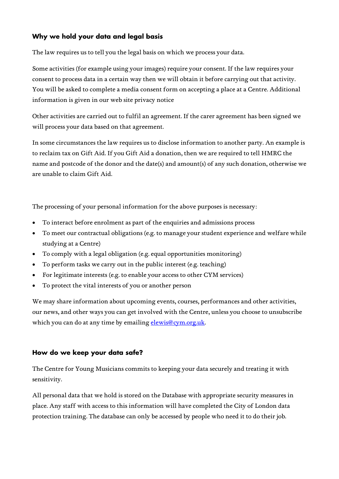## **Why we hold your data and legal basis**

The law requires us to tell you the legal basis on which we process your data.

Some activities (for example using your images) require your consent. If the law requires your consent to process data in a certain way then we will obtain it before carrying out that activity. You will be asked to complete a media consent form on accepting a place at a Centre. Additional information is given in our web site privacy notice

Other activities are carried out to fulfil an agreement. If the carer agreement has been signed we will process your data based on that agreement.

In some circumstances the law requires us to disclose information to another party. An example is to reclaim tax on Gift Aid. If you Gift Aid a donation, then we are required to tell HMRC the name and postcode of the donor and the date(s) and amount(s) of any such donation, otherwise we are unable to claim Gift Aid.

The processing of your personal information for the above purposes is necessary:

- To interact before enrolment as part of the enquiries and admissions process
- To meet our contractual obligations (e.g. to manage your student experience and welfare while studying at a Centre)
- To comply with a legal obligation (e.g. equal opportunities monitoring)
- To perform tasks we carry out in the public interest (e.g. teaching)
- For legitimate interests (e.g. to enable your access to other CYM services)
- To protect the vital interests of you or another person

We may share information about upcoming events, courses, performances and other activities, our news, and other ways you can get involved with the Centre, unless you choose to unsubscribe which you can do at any time by emailing elewis@cym.org.uk.

#### **How do we keep your data safe?**

The Centre for Young Musicians commits to keeping your data securely and treating it with sensitivity.

All personal data that we hold is stored on the Database with appropriate security measures in place. Any staff with access to this information will have completed the City of London data protection training. The database can only be accessed by people who need it to do their job.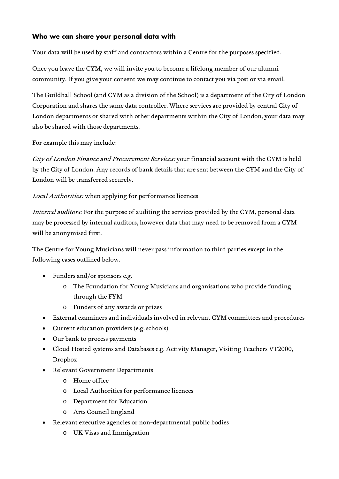## **Who we can share your personal data with**

Your data will be used by staff and contractors within a Centre for the purposes specified.

Once you leave the CYM, we will invite you to become a lifelong member of our alumni community. If you give your consent we may continue to contact you via post or via email.

The Guildhall School (and CYM as a division of the School) is a department of the City of London Corporation and shares the same data controller. Where services are provided by central City of London departments or shared with other departments within the City of London, your data may also be shared with those departments.

For example this may include:

City of London Finance and Procurement Services: your financial account with the CYM is held by the City of London. Any records of bank details that are sent between the CYM and the City of London will be transferred securely.

### Local Authorities: when applying for performance licences

Internal auditors: For the purpose of auditing the services provided by the CYM, personal data may be processed by internal auditors, however data that may need to be removed from a CYM will be anonymised first.

The Centre for Young Musicians will never pass information to third parties except in the following cases outlined below.

- Funders and/or sponsors e.g.
	- o The Foundation for Young Musicians and organisations who provide funding through the FYM
	- o Funders of any awards or prizes
- External examiners and individuals involved in relevant CYM committees and procedures
- Current education providers (e.g. schools)
- Our bank to process payments
- Cloud Hosted systems and Databases e.g. Activity Manager, Visiting Teachers VT2000, Dropbox
- Relevant Government Departments
	- o Home office
	- o Local Authorities for performance licences
	- o Department for Education
	- o Arts Council England
- Relevant executive agencies or non-departmental public bodies
	- o UK Visas and Immigration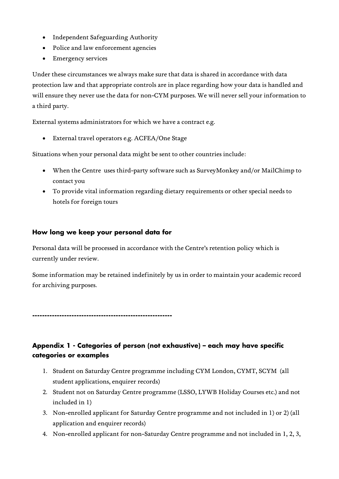- Independent Safeguarding Authority
- Police and law enforcement agencies
- Emergency services

Under these circumstances we always make sure that data is shared in accordance with data protection law and that appropriate controls are in place regarding how your data is handled and will ensure they never use the data for non-CYM purposes. We will never sell your information to a third party.

External systems administrators for which we have a contract e.g.

External travel operators e.g. ACFEA/One Stage

Situations when your personal data might be sent to other countries include:

- When the Centre uses third-party software such as SurveyMonkey and/or MailChimp to contact you
- To provide vital information regarding dietary requirements or other special needs to hotels for foreign tours

## **How long we keep your personal data for**

Personal data will be processed in accordance with the Centre's retention policy which is currently under review.

Some information may be retained indefinitely by us in order to maintain your academic record for archiving purposes.

**---------------------------------------------------------** 

# **Appendix 1 - Categories of person (not exhaustive) – each may have specific categories or examples**

- 1. Student on Saturday Centre programme including CYM London, CYMT, SCYM (all student applications, enquirer records)
- 2. Student not on Saturday Centre programme (LSSO, LYWB Holiday Courses etc.) and not included in 1)
- 3. Non-enrolled applicant for Saturday Centre programme and not included in 1) or 2) (all application and enquirer records)
- 4. Non-enrolled applicant for non-Saturday Centre programme and not included in 1, 2, 3,